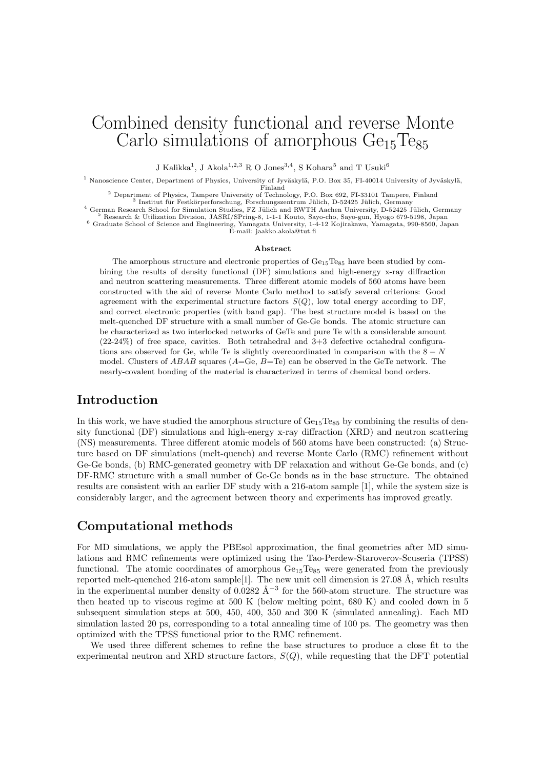# Combined density functional and reverse Monte Carlo simulations of amorphous  $Ge<sub>15</sub>Te<sub>85</sub>$

J Kalikka<sup>1</sup>, J Akola<sup>1,2,3</sup> R O Jones<sup>3,4</sup>, S Kohara<sup>5</sup> and T Usuki<sup>6</sup>

<sup>1</sup> Nanoscience Center, Department of Physics, University of Jyväskylä, P.O. Box 35, FI-40014 University of Jyväskylä,  $\frac{1}{2}$ Finland

<sup>2</sup> Department of Physics, Tampere University of Technology, P.O. Box 692, FI-33101 Tampere, Finland<br><sup>3</sup> Institut für Festkörperforschung, Forschungszentrum Jülich, D-52425 Jülich, Germany<br><sup>4</sup> German Research School for S

E-mail: jaakko.akola@tut.fi

#### Abstract

The amorphous structure and electronic properties of  $Ge_{15}Te_{85}$  have been studied by combining the results of density functional (DF) simulations and high-energy x-ray diffraction and neutron scattering measurements. Three different atomic models of 560 atoms have been constructed with the aid of reverse Monte Carlo method to satisfy several criterions: Good agreement with the experimental structure factors  $S(Q)$ , low total energy according to DF, and correct electronic properties (with band gap). The best structure model is based on the melt-quenched DF structure with a small number of Ge-Ge bonds. The atomic structure can be characterized as two interlocked networks of GeTe and pure Te with a considerable amount  $(22-24\%)$  of free space, cavities. Both tetrahedral and  $3+3$  defective octahedral configurations are observed for Ge, while Te is slightly overcoordinated in comparison with the  $8 - N$ model. Clusters of *ABAB* squares (*A*=Ge, *B*=Te) can be observed in the GeTe network. The nearly-covalent bonding of the material is characterized in terms of chemical bond orders.

## Introduction

In this work, we have studied the amorphous structure of  $Ge_{15}Te_{85}$  by combining the results of density functional (DF) simulations and high-energy x-ray diffraction (XRD) and neutron scattering (NS) measurements. Three different atomic models of 560 atoms have been constructed: (a) Structure based on DF simulations (melt-quench) and reverse Monte Carlo (RMC) refinement without Ge-Ge bonds, (b) RMC-generated geometry with DF relaxation and without Ge-Ge bonds, and (c) DF-RMC structure with a small number of Ge-Ge bonds as in the base structure. The obtained results are consistent with an earlier DF study with a 216-atom sample [1], while the system size is considerably larger, and the agreement between theory and experiments has improved greatly.

## Computational methods

For MD simulations, we apply the PBEsol approximation, the final geometries after MD simulations and RMC refinements were optimized using the Tao-Perdew-Staroverov-Scuseria (TPSS) functional. The atomic coordinates of amorphous  $Ge_{15}Te_{85}$  were generated from the previously reported melt-quenched 216-atom sample<sup>[1]</sup>. The new unit cell dimension is 27.08 Å, which results in the experimental number density of 0.0282 Å<sup>-3</sup> for the 560-atom structure. The structure was then heated up to viscous regime at 500 K (below melting point, 680 K) and cooled down in 5 subsequent simulation steps at 500, 450, 400, 350 and 300 K (simulated annealing). Each MD simulation lasted 20 ps, corresponding to a total annealing time of 100 ps. The geometry was then optimized with the TPSS functional prior to the RMC refinement.

We used three different schemes to refine the base structures to produce a close fit to the experimental neutron and XRD structure factors,  $S(Q)$ , while requesting that the DFT potential